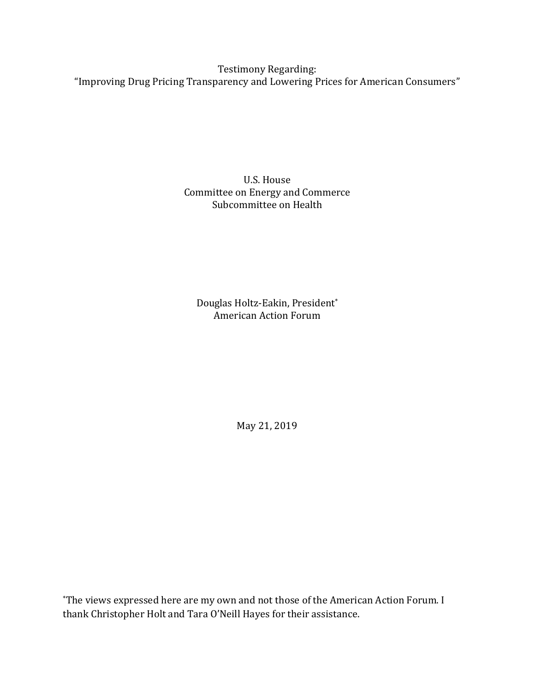Testimony Regarding: "Improving Drug Pricing Transparency and Lowering Prices for American Consumers"

> U.S. House Committee on Energy and Commerce Subcommittee on Health

Douglas Holtz-Eakin, President\* American Action Forum

May 21, 2019

\*The views expressed here are my own and not those of the American Action Forum. I thank Christopher Holt and Tara O'Neill Hayes for their assistance.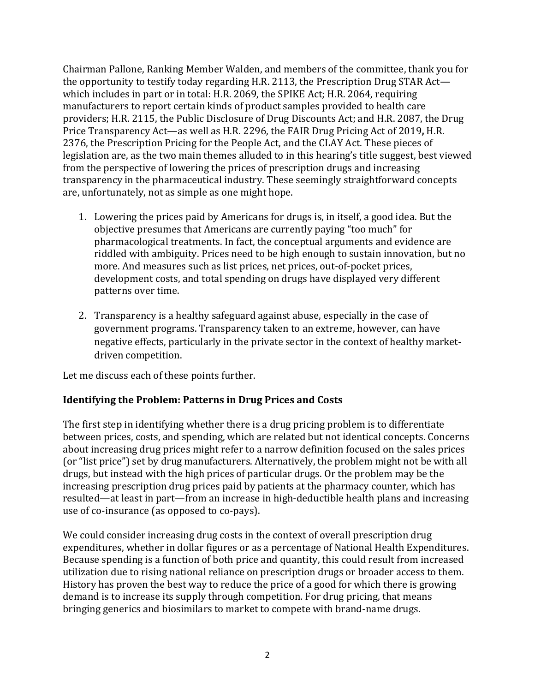Chairman Pallone, Ranking Member Walden, and members of the committee, thank you for the opportunity to testify today regarding H.R. 2113, the Prescription Drug STAR Act which includes in part or in total: H.R. 2069, the SPIKE Act; H.R. 2064, requiring manufacturers to report certain kinds of product samples provided to health care providers; H.R. 2115, the Public Disclosure of Drug Discounts Act; and H.R. 2087, the Drug Price Transparency Act—as well as H.R. 2296, the FAIR Drug Pricing Act of 2019**,** H.R. 2376, the Prescription Pricing for the People Act, and the CLAY Act. These pieces of legislation are, as the two main themes alluded to in this hearing's title suggest, best viewed from the perspective of lowering the prices of prescription drugs and increasing transparency in the pharmaceutical industry. These seemingly straightforward concepts are, unfortunately, not as simple as one might hope.

- 1. Lowering the prices paid by Americans for drugs is, in itself, a good idea. But the objective presumes that Americans are currently paying "too much" for pharmacological treatments. In fact, the conceptual arguments and evidence are riddled with ambiguity. Prices need to be high enough to sustain innovation, but no more. And measures such as list prices, net prices, out-of-pocket prices, development costs, and total spending on drugs have displayed very different patterns over time.
- 2. Transparency is a healthy safeguard against abuse, especially in the case of government programs. Transparency taken to an extreme, however, can have negative effects, particularly in the private sector in the context of healthy marketdriven competition.

Let me discuss each of these points further.

## **Identifying the Problem: Patterns in Drug Prices and Costs**

The first step in identifying whether there is a drug pricing problem is to differentiate between prices, costs, and spending, which are related but not identical concepts. Concerns about increasing drug prices might refer to a narrow definition focused on the sales prices (or "list price") set by drug manufacturers. Alternatively, the problem might not be with all drugs, but instead with the high prices of particular drugs. Or the problem may be the increasing prescription drug prices paid by patients at the pharmacy counter, which has resulted—at least in part—from an increase in high-deductible health plans and increasing use of co-insurance (as opposed to co-pays).

We could consider increasing drug costs in the context of overall prescription drug expenditures, whether in dollar figures or as a percentage of National Health Expenditures. Because spending is a function of both price and quantity, this could result from increased utilization due to rising national reliance on prescription drugs or broader access to them. History has proven the best way to reduce the price of a good for which there is growing demand is to increase its supply through competition. For drug pricing, that means bringing generics and biosimilars to market to compete with brand-name drugs.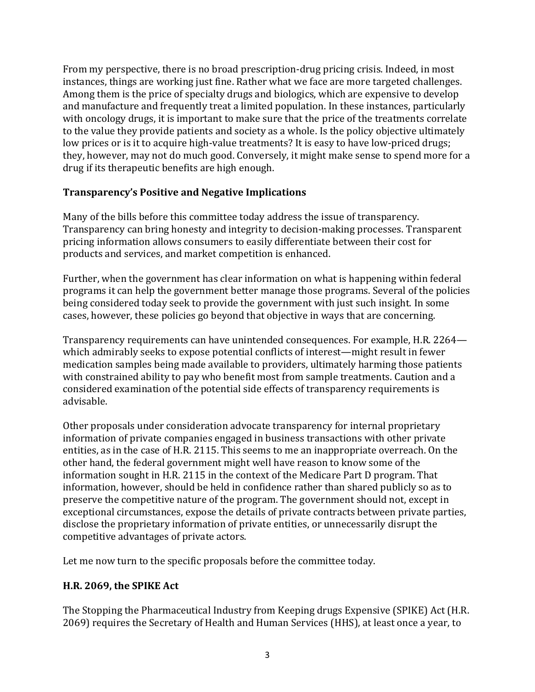From my perspective, there is no broad prescription-drug pricing crisis. Indeed, in most instances, things are working just fine. Rather what we face are more targeted challenges. Among them is the price of specialty drugs and biologics, which are expensive to develop and manufacture and frequently treat a limited population. In these instances, particularly with oncology drugs, it is important to make sure that the price of the treatments correlate to the value they provide patients and society as a whole. Is the policy objective ultimately low prices or is it to acquire high-value treatments? It is easy to have low-priced drugs; they, however, may not do much good. Conversely, it might make sense to spend more for a drug if its therapeutic benefits are high enough.

## **Transparency's Positive and Negative Implications**

Many of the bills before this committee today address the issue of transparency. Transparency can bring honesty and integrity to decision-making processes. Transparent pricing information allows consumers to easily differentiate between their cost for products and services, and market competition is enhanced.

Further, when the government has clear information on what is happening within federal programs it can help the government better manage those programs. Several of the policies being considered today seek to provide the government with just such insight. In some cases, however, these policies go beyond that objective in ways that are concerning.

Transparency requirements can have unintended consequences. For example, H.R. 2264 which admirably seeks to expose potential conflicts of interest—might result in fewer medication samples being made available to providers, ultimately harming those patients with constrained ability to pay who benefit most from sample treatments. Caution and a considered examination of the potential side effects of transparency requirements is advisable.

Other proposals under consideration advocate transparency for internal proprietary information of private companies engaged in business transactions with other private entities, as in the case of H.R. 2115. This seems to me an inappropriate overreach. On the other hand, the federal government might well have reason to know some of the information sought in H.R. 2115 in the context of the Medicare Part D program. That information, however, should be held in confidence rather than shared publicly so as to preserve the competitive nature of the program. The government should not, except in exceptional circumstances, expose the details of private contracts between private parties, disclose the proprietary information of private entities, or unnecessarily disrupt the competitive advantages of private actors.

Let me now turn to the specific proposals before the committee today.

#### **H.R. 2069, the SPIKE Act**

The Stopping the Pharmaceutical Industry from Keeping drugs Expensive (SPIKE) Act (H.R. 2069) requires the Secretary of Health and Human Services (HHS), at least once a year, to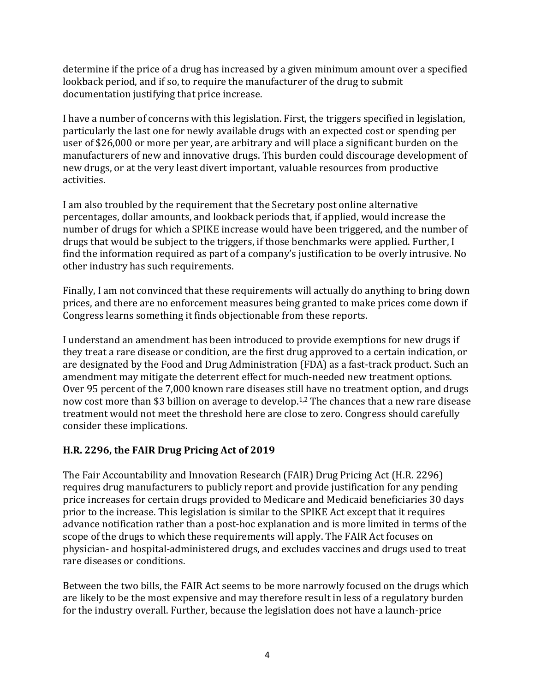determine if the price of a drug has increased by a given minimum amount over a specified lookback period, and if so, to require the manufacturer of the drug to submit documentation justifying that price increase.

I have a number of concerns with this legislation. First, the triggers specified in legislation, particularly the last one for newly available drugs with an expected cost or spending per user of \$26,000 or more per year, are arbitrary and will place a significant burden on the manufacturers of new and innovative drugs. This burden could discourage development of new drugs, or at the very least divert important, valuable resources from productive activities.

I am also troubled by the requirement that the Secretary post online alternative percentages, dollar amounts, and lookback periods that, if applied, would increase the number of drugs for which a SPIKE increase would have been triggered, and the number of drugs that would be subject to the triggers, if those benchmarks were applied. Further, I find the information required as part of a company's justification to be overly intrusive. No other industry has such requirements.

Finally, I am not convinced that these requirements will actually do anything to bring down prices, and there are no enforcement measures being granted to make prices come down if Congress learns something it finds objectionable from these reports.

I understand an amendment has been introduced to provide exemptions for new drugs if they treat a rare disease or condition, are the first drug approved to a certain indication, or are designated by the Food and Drug Administration (FDA) as a fast-track product. Such an amendment may mitigate the deterrent effect for much-needed new treatment options. Over 95 percent of the 7,000 known rare diseases still have no treatment option, and drugs now cost more than \$3 billion on average to develop. 1,2 The chances that a new rare disease treatment would not meet the threshold here are close to zero. Congress should carefully consider these implications.

## **H.R. 2296, the FAIR Drug Pricing Act of 2019**

The Fair Accountability and Innovation Research (FAIR) Drug Pricing Act (H.R. 2296) requires drug manufacturers to publicly report and provide justification for any pending price increases for certain drugs provided to Medicare and Medicaid beneficiaries 30 days prior to the increase. This legislation is similar to the SPIKE Act except that it requires advance notification rather than a post-hoc explanation and is more limited in terms of the scope of the drugs to which these requirements will apply. The FAIR Act focuses on physician- and hospital-administered drugs, and excludes vaccines and drugs used to treat rare diseases or conditions.

Between the two bills, the FAIR Act seems to be more narrowly focused on the drugs which are likely to be the most expensive and may therefore result in less of a regulatory burden for the industry overall. Further, because the legislation does not have a launch-price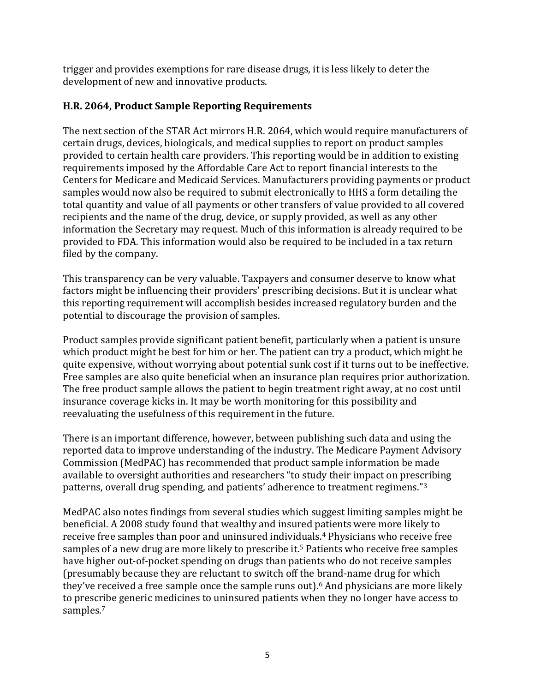trigger and provides exemptions for rare disease drugs, it is less likely to deter the development of new and innovative products.

## **H.R. 2064, Product Sample Reporting Requirements**

The next section of the STAR Act mirrors H.R. 2064, which would require manufacturers of certain drugs, devices, biologicals, and medical supplies to report on product samples provided to certain health care providers. This reporting would be in addition to existing requirements imposed by the Affordable Care Act to report financial interests to the Centers for Medicare and Medicaid Services. Manufacturers providing payments or product samples would now also be required to submit electronically to HHS a form detailing the total quantity and value of all payments or other transfers of value provided to all covered recipients and the name of the drug, device, or supply provided, as well as any other information the Secretary may request. Much of this information is already required to be provided to FDA. This information would also be required to be included in a tax return filed by the company.

This transparency can be very valuable. Taxpayers and consumer deserve to know what factors might be influencing their providers' prescribing decisions. But it is unclear what this reporting requirement will accomplish besides increased regulatory burden and the potential to discourage the provision of samples.

Product samples provide significant patient benefit, particularly when a patient is unsure which product might be best for him or her. The patient can try a product, which might be quite expensive, without worrying about potential sunk cost if it turns out to be ineffective. Free samples are also quite beneficial when an insurance plan requires prior authorization. The free product sample allows the patient to begin treatment right away, at no cost until insurance coverage kicks in. It may be worth monitoring for this possibility and reevaluating the usefulness of this requirement in the future.

There is an important difference, however, between publishing such data and using the reported data to improve understanding of the industry. The Medicare Payment Advisory Commission (MedPAC) has recommended that product sample information be made available to oversight authorities and researchers "to study their impact on prescribing patterns, overall drug spending, and patients' adherence to treatment regimens."<sup>3</sup>

MedPAC also notes findings from several studies which suggest limiting samples might be beneficial. A 2008 study found that wealthy and insured patients were more likely to receive free samples than poor and uninsured individuals.<sup>4</sup> Physicians who receive free samples of a new drug are more likely to prescribe it.<sup>5</sup> Patients who receive free samples have higher out-of-pocket spending on drugs than patients who do not receive samples (presumably because they are reluctant to switch off the brand-name drug for which they've received a free sample once the sample runs out).<sup>6</sup> And physicians are more likely to prescribe generic medicines to uninsured patients when they no longer have access to samples.7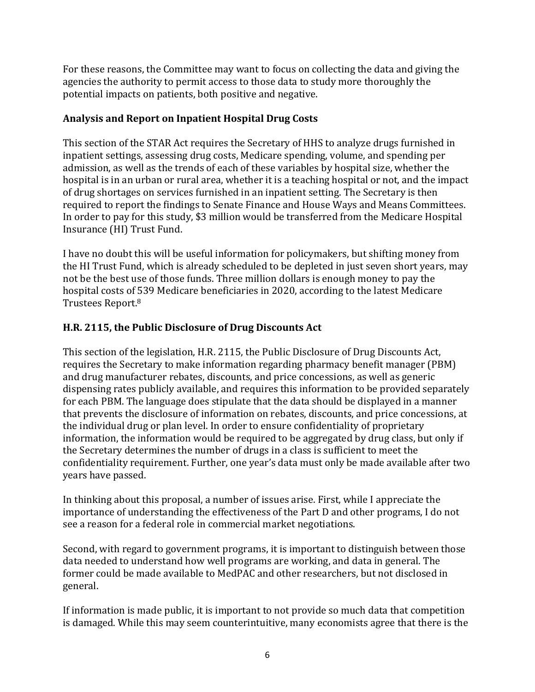For these reasons, the Committee may want to focus on collecting the data and giving the agencies the authority to permit access to those data to study more thoroughly the potential impacts on patients, both positive and negative.

## **Analysis and Report on Inpatient Hospital Drug Costs**

This section of the STAR Act requires the Secretary of HHS to analyze drugs furnished in inpatient settings, assessing drug costs, Medicare spending, volume, and spending per admission, as well as the trends of each of these variables by hospital size, whether the hospital is in an urban or rural area, whether it is a teaching hospital or not, and the impact of drug shortages on services furnished in an inpatient setting. The Secretary is then required to report the findings to Senate Finance and House Ways and Means Committees. In order to pay for this study, \$3 million would be transferred from the Medicare Hospital Insurance (HI) Trust Fund.

I have no doubt this will be useful information for policymakers, but shifting money from the HI Trust Fund, which is already scheduled to be depleted in just seven short years, may not be the best use of those funds. Three million dollars is enough money to pay the hospital costs of 539 Medicare beneficiaries in 2020, according to the latest Medicare Trustees Report.<sup>8</sup>

# **H.R. 2115, the Public Disclosure of Drug Discounts Act**

This section of the legislation, H.R. 2115, the Public Disclosure of Drug Discounts Act, requires the Secretary to make information regarding pharmacy benefit manager (PBM) and drug manufacturer rebates, discounts, and price concessions, as well as generic dispensing rates publicly available, and requires this information to be provided separately for each PBM. The language does stipulate that the data should be displayed in a manner that prevents the disclosure of information on rebates, discounts, and price concessions, at the individual drug or plan level. In order to ensure confidentiality of proprietary information, the information would be required to be aggregated by drug class, but only if the Secretary determines the number of drugs in a class is sufficient to meet the confidentiality requirement. Further, one year's data must only be made available after two years have passed.

In thinking about this proposal, a number of issues arise. First, while I appreciate the importance of understanding the effectiveness of the Part D and other programs, I do not see a reason for a federal role in commercial market negotiations.

Second, with regard to government programs, it is important to distinguish between those data needed to understand how well programs are working, and data in general. The former could be made available to MedPAC and other researchers, but not disclosed in general.

If information is made public, it is important to not provide so much data that competition is damaged. While this may seem counterintuitive, many economists agree that there is the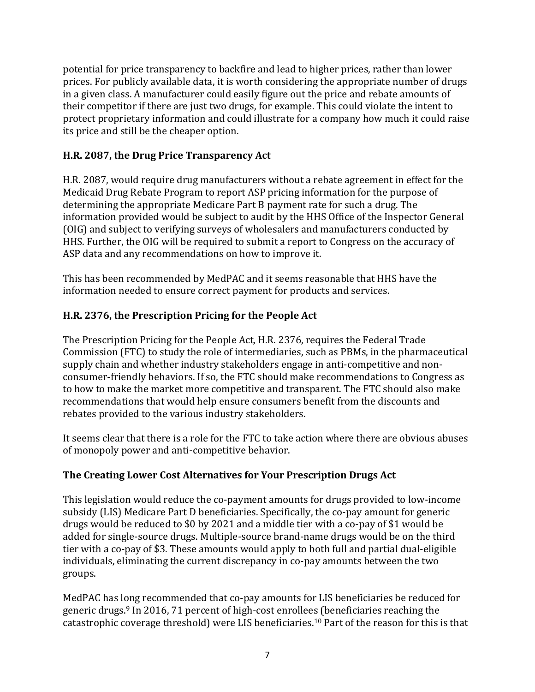potential for price transparency to backfire and lead to higher prices, rather than lower prices. For publicly available data, it is worth considering the appropriate number of drugs in a given class. A manufacturer could easily figure out the price and rebate amounts of their competitor if there are just two drugs, for example. This could violate the intent to protect proprietary information and could illustrate for a company how much it could raise its price and still be the cheaper option.

## **H.R. 2087, the Drug Price Transparency Act**

H.R. 2087, would require drug manufacturers without a rebate agreement in effect for the Medicaid Drug Rebate Program to report ASP pricing information for the purpose of determining the appropriate Medicare Part B payment rate for such a drug. The information provided would be subject to audit by the HHS Office of the Inspector General (OIG) and subject to verifying surveys of wholesalers and manufacturers conducted by HHS. Further, the OIG will be required to submit a report to Congress on the accuracy of ASP data and any recommendations on how to improve it.

This has been recommended by MedPAC and it seems reasonable that HHS have the information needed to ensure correct payment for products and services.

## **H.R. 2376, the Prescription Pricing for the People Act**

The Prescription Pricing for the People Act, H.R. 2376, requires the Federal Trade Commission (FTC) to study the role of intermediaries, such as PBMs, in the pharmaceutical supply chain and whether industry stakeholders engage in anti-competitive and nonconsumer-friendly behaviors. If so, the FTC should make recommendations to Congress as to how to make the market more competitive and transparent. The FTC should also make recommendations that would help ensure consumers benefit from the discounts and rebates provided to the various industry stakeholders.

It seems clear that there is a role for the FTC to take action where there are obvious abuses of monopoly power and anti-competitive behavior.

## **The Creating Lower Cost Alternatives for Your Prescription Drugs Act**

This legislation would reduce the co-payment amounts for drugs provided to low-income subsidy (LIS) Medicare Part D beneficiaries. Specifically, the co-pay amount for generic drugs would be reduced to \$0 by 2021 and a middle tier with a co-pay of \$1 would be added for single-source drugs. Multiple-source brand-name drugs would be on the third tier with a co-pay of \$3. These amounts would apply to both full and partial dual-eligible individuals, eliminating the current discrepancy in co-pay amounts between the two groups.

MedPAC has long recommended that co-pay amounts for LIS beneficiaries be reduced for generic drugs.<sup>9</sup> In 2016, 71 percent of high-cost enrollees (beneficiaries reaching the catastrophic coverage threshold) were LIS beneficiaries.<sup>10</sup> Part of the reason for this is that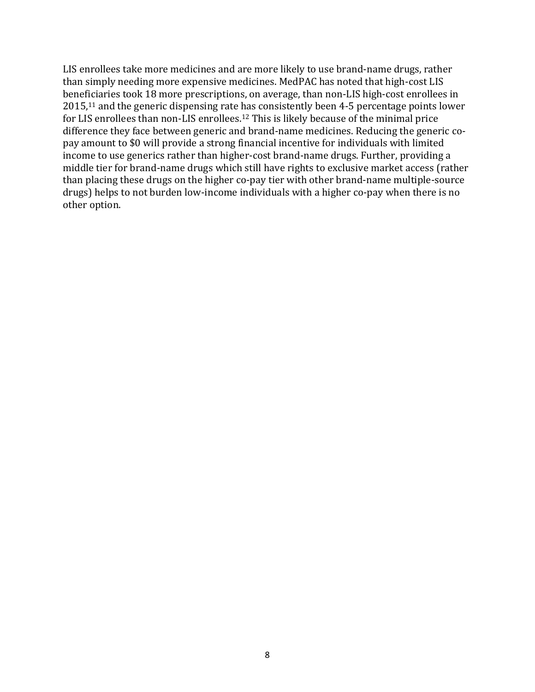LIS enrollees take more medicines and are more likely to use brand-name drugs, rather than simply needing more expensive medicines. MedPAC has noted that high-cost LIS beneficiaries took 18 more prescriptions, on average, than non-LIS high-cost enrollees in 2015,<sup>11</sup> and the generic dispensing rate has consistently been 4-5 percentage points lower for LIS enrollees than non-LIS enrollees.<sup>12</sup> This is likely because of the minimal price difference they face between generic and brand-name medicines. Reducing the generic copay amount to \$0 will provide a strong financial incentive for individuals with limited income to use generics rather than higher-cost brand-name drugs. Further, providing a middle tier for brand-name drugs which still have rights to exclusive market access (rather than placing these drugs on the higher co-pay tier with other brand-name multiple-source drugs) helps to not burden low-income individuals with a higher co-pay when there is no other option.